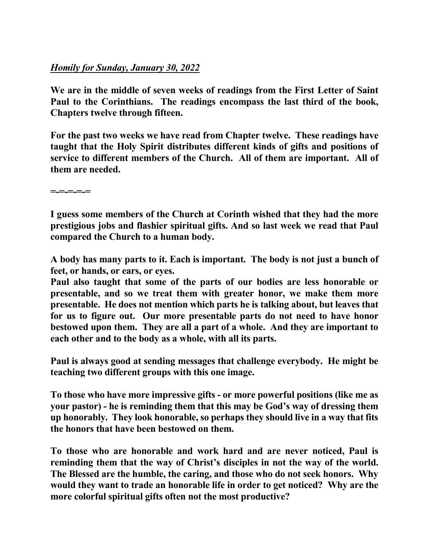## *Homily for Sunday, January 30, 2022*

**We are in the middle of seven weeks of readings from the First Letter of Saint Paul to the Corinthians. The readings encompass the last third of the book, Chapters twelve through fifteen.**

**For the past two weeks we have read from Chapter twelve. These readings have taught that the Holy Spirit distributes different kinds of gifts and positions of service to different members of the Church. All of them are important. All of them are needed.** 

**=-=-=-=-=** 

**I guess some members of the Church at Corinth wished that they had the more prestigious jobs and flashier spiritual gifts. And so last week we read that Paul compared the Church to a human body.** 

**A body has many parts to it. Each is important. The body is not just a bunch of feet, or hands, or ears, or eyes.** 

**Paul also taught that some of the parts of our bodies are less honorable or presentable, and so we treat them with greater honor, we make them more presentable. He does not mention which parts he is talking about, but leaves that for us to figure out. Our more presentable parts do not need to have honor bestowed upon them. They are all a part of a whole. And they are important to each other and to the body as a whole, with all its parts.** 

**Paul is always good at sending messages that challenge everybody. He might be teaching two different groups with this one image.** 

**To those who have more impressive gifts - or more powerful positions (like me as your pastor) - he is reminding them that this may be God's way of dressing them up honorably. They look honorable, so perhaps they should live in a way that fits the honors that have been bestowed on them.** 

**To those who are honorable and work hard and are never noticed, Paul is reminding them that the way of Christ's disciples in not the way of the world. The Blessed are the humble, the caring, and those who do not seek honors. Why would they want to trade an honorable life in order to get noticed? Why are the more colorful spiritual gifts often not the most productive?**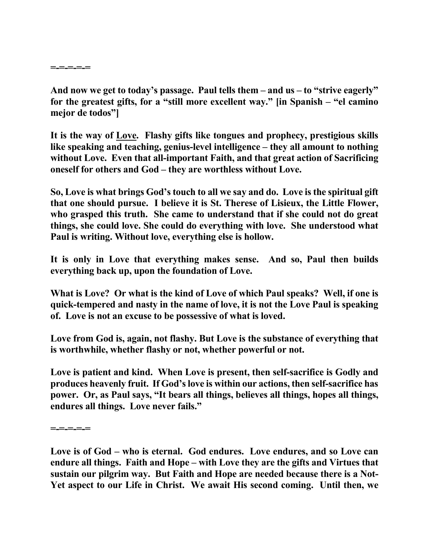**And now we get to today's passage. Paul tells them – and us – to "strive eagerly" for the greatest gifts, for a "still more excellent way." [in Spanish – "el camino mejor de todos"]**

**It is the way of Love. Flashy gifts like tongues and prophecy, prestigious skills like speaking and teaching, genius-level intelligence – they all amount to nothing without Love. Even that all-important Faith, and that great action of Sacrificing oneself for others and God – they are worthless without Love.** 

**So, Love is what brings God's touch to all we say and do. Love is the spiritual gift that one should pursue. I believe it is St. Therese of Lisieux, the Little Flower, who grasped this truth. She came to understand that if she could not do great things, she could love. She could do everything with love. She understood what Paul is writing. Without love, everything else is hollow.** 

**It is only in Love that everything makes sense. And so, Paul then builds everything back up, upon the foundation of Love.** 

**What is Love? Or what is the kind of Love of which Paul speaks? Well, if one is quick-tempered and nasty in the name of love, it is not the Love Paul is speaking of. Love is not an excuse to be possessive of what is loved.**

**Love from God is, again, not flashy. But Love is the substance of everything that is worthwhile, whether flashy or not, whether powerful or not.** 

**Love is patient and kind. When Love is present, then self-sacrifice is Godly and produces heavenly fruit. If God's love is within our actions, then self-sacrifice has power. Or, as Paul says, "It bears all things, believes all things, hopes all things, endures all things. Love never fails."** 

**=-=-=-=-=** 

**Love is of God – who is eternal. God endures. Love endures, and so Love can endure all things. Faith and Hope – with Love they are the gifts and Virtues that sustain our pilgrim way. But Faith and Hope are needed because there is a Not-Yet aspect to our Life in Christ. We await His second coming. Until then, we**